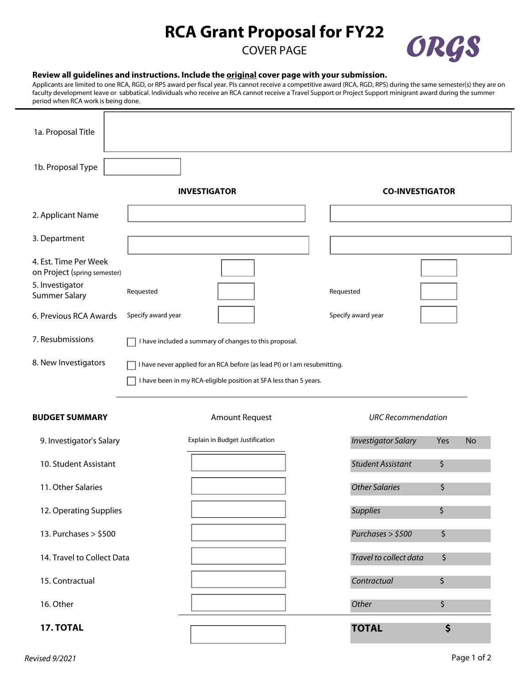## **RCA Grant Proposal for FY22**

COVER PAGE



## **Review all guidelines and instructions. Include the original cover page with your submission.**

Applicants are limited to one RCA, RGD, or RPS award per fiscal year. PIs cannot receive a competitive award (RCA, RGD, RPS) during the same semester(s) they are on faculty development leave or sabbatical. Individuals who receive an RCA cannot receive a Travel Support or Project Support minigrant award during the summer period when RCA work is being done.

| 1a. Proposal Title                                    |                          |                                                                                                                                                |                            |                  |  |
|-------------------------------------------------------|--------------------------|------------------------------------------------------------------------------------------------------------------------------------------------|----------------------------|------------------|--|
| 1b. Proposal Type                                     | $\vert \mathbf{v} \vert$ |                                                                                                                                                |                            |                  |  |
|                                                       |                          | <b>INVESTIGATOR</b>                                                                                                                            | <b>CO-INVESTIGATOR</b>     |                  |  |
| 2. Applicant Name                                     |                          |                                                                                                                                                |                            |                  |  |
| 3. Department                                         |                          |                                                                                                                                                |                            |                  |  |
| 4. Est. Time Per Week<br>on Project (spring semester) |                          |                                                                                                                                                |                            |                  |  |
| 5. Investigator<br><b>Summer Salary</b>               | Requested                |                                                                                                                                                | Requested                  |                  |  |
| 6. Previous RCA Awards                                | Specify award year       |                                                                                                                                                | Specify award year         |                  |  |
| 7. Resubmissions                                      |                          | I have included a summary of changes to this proposal.                                                                                         |                            |                  |  |
| 8. New Investigators                                  |                          | I have never applied for an RCA before (as lead PI) or I am resubmitting.<br>I have been in my RCA-eligible position at SFA less than 5 years. |                            |                  |  |
| <b>BUDGET SUMMARY</b>                                 |                          | <b>Amount Request</b>                                                                                                                          | <b>URC</b> Recommendation  |                  |  |
| 9. Investigator's Salary                              |                          | Explain in Budget Justification                                                                                                                | <b>Investigator Salary</b> | Yes<br><b>No</b> |  |
| 10. Student Assistant                                 |                          |                                                                                                                                                | <b>Student Assistant</b>   | \$               |  |
| 11. Other Salaries                                    |                          |                                                                                                                                                | <b>Other Salaries</b>      | \$               |  |
| 12. Operating Supplies                                |                          |                                                                                                                                                | <b>Supplies</b>            | \$               |  |
| 13. Purchases > \$500                                 |                          |                                                                                                                                                | Purchases > \$500          | \$               |  |
| 14. Travel to Collect Data                            |                          |                                                                                                                                                | Travel to collect data     | \$               |  |
| 15. Contractual                                       |                          |                                                                                                                                                | Contractual                | \$               |  |
| 16. Other                                             |                          |                                                                                                                                                | Other                      | \$               |  |
| 17. TOTAL                                             |                          |                                                                                                                                                | <b>TOTAL</b>               | \$               |  |